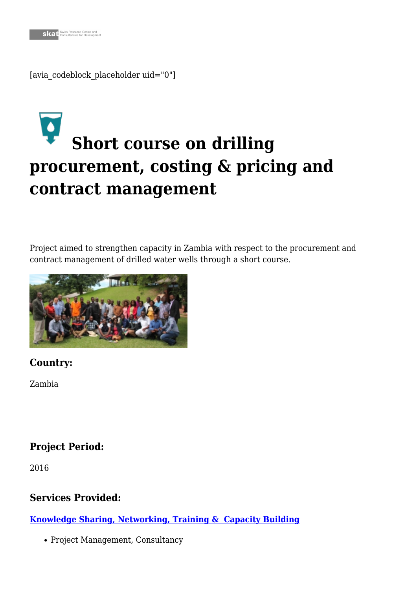[avia\_codeblock\_placeholder uid="0"]

# **[S](https://skat.ch/portfolio-item/wash/)hort course on drilling procurement, costing & pricing and contract management**

Project aimed to strengthen capacity in Zambia with respect to the procurement and contract management of drilled water wells through a short course.



# **Country:**

Zambia

# **Project Period:**

2016

# **Services Provided:**

**[Knowledge Sharing, Networking, Training & Capacity Building](https://skat.ch/portfolio-item/knowledge-sharing-networking-training-capacity-development/)**

• Project Management, Consultancy